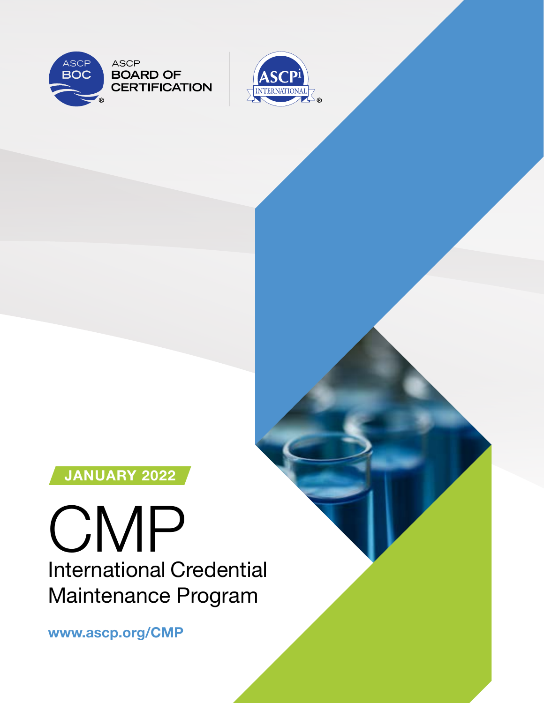



## JANUARY 2022

# **CMP** International Credential Maintenance Program

www.ascp.org/CMP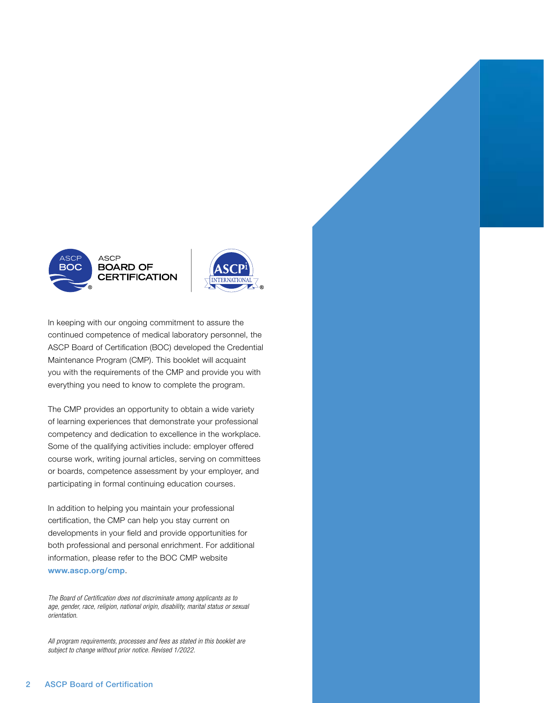



In keeping with our ongoing commitment to assure the continued competence of medical laboratory personnel, the ASCP Board of Certification (BOC) developed the Credential Maintenance Program (CMP). This booklet will acquaint you with the requirements of the CMP and provide you with everything you need to know to complete the program.

The CMP provides an opportunity to obtain a wide variety of learning experiences that demonstrate your professional competency and dedication to excellence in the workplace. Some of the qualifying activities include: employer offered course work, writing journal articles, serving on committees or boards, competence assessment by your employer, and participating in formal continuing education courses.

In addition to helping you maintain your professional certification, the CMP can help you stay current on developments in your field and provide opportunities for both professional and personal enrichment. For additional information, please refer to the BOC CMP website www.ascp.org/cmp.

*The Board of Certification does not discriminate among applicants as to age, gender, race, religion, national origin, disability, marital status or sexual orientation.*

*All program requirements, processes and fees as stated in this booklet are subject to change without prior notice. Revised 1/2022.*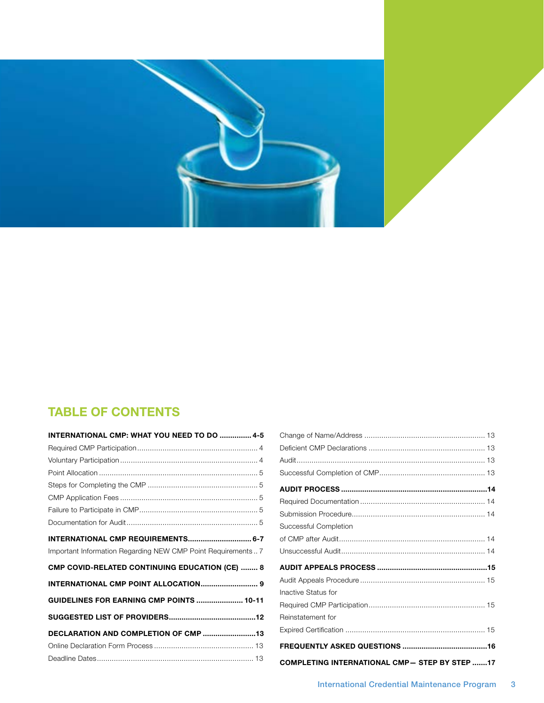

## TABLE OF CONTENTS

| INTERNATIONAL CMP: WHAT YOU NEED TO DO  4-5                  |
|--------------------------------------------------------------|
|                                                              |
|                                                              |
|                                                              |
|                                                              |
|                                                              |
|                                                              |
|                                                              |
| INTERNATIONAL CMP REQUIREMENTS 6-7                           |
| Important Information Regarding NEW CMP Point Requirements 7 |
| <b>CMP COVID-RELATED CONTINUING EDUCATION (CE)  8</b>        |
| <b>INTERNATIONAL CMP POINT ALLOCATION 9</b>                  |
| GUIDELINES FOR EARNING CMP POINTS  10-11                     |
|                                                              |
| DECLARATION AND COMPLETION OF CMP 13                         |
|                                                              |
|                                                              |

| Successful Completion                                |  |
|------------------------------------------------------|--|
|                                                      |  |
|                                                      |  |
|                                                      |  |
|                                                      |  |
| Inactive Status for                                  |  |
|                                                      |  |
| Reinstatement for                                    |  |
|                                                      |  |
|                                                      |  |
| <b>COMPLETING INTERNATIONAL CMP- STEP BY STEP 17</b> |  |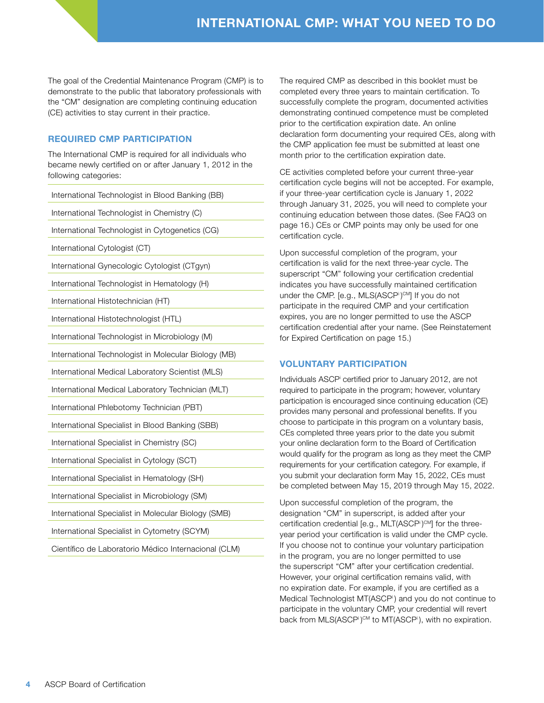<span id="page-3-0"></span>The goal of the Credential Maintenance Program (CMP) is to demonstrate to the public that laboratory professionals with the "CM" designation are completing continuing education (CE) activities to stay current in their practice.

#### REQUIRED CMP PARTICIPATION

The International CMP is required for all individuals who became newly certified on or after January 1, 2012 in the following categories:

International Technologist in Blood Banking (BB)

International Technologist in Chemistry (C)

International Technologist in Cytogenetics (CG)

International Cytologist (CT)

International Gynecologic Cytologist (CTgyn)

International Technologist in Hematology (H)

International Histotechnician (HT)

International Histotechnologist (HTL)

International Technologist in Microbiology (M)

International Technologist in Molecular Biology (MB)

International Medical Laboratory Scientist (MLS)

International Medical Laboratory Technician (MLT)

International Phlebotomy Technician (PBT)

International Specialist in Blood Banking (SBB)

International Specialist in Chemistry (SC)

International Specialist in Cytology (SCT)

International Specialist in Hematology (SH)

International Specialist in Microbiology (SM)

International Specialist in Molecular Biology (SMB)

International Specialist in Cytometry (SCYM)

Científico de Laboratorio Médico Internacional (CLM)

The required CMP as described in this booklet must be completed every three years to maintain certification. To successfully complete the program, documented activities demonstrating continued competence must be completed prior to the certification expiration date. An online declaration form documenting your required CEs, along with the CMP application fee must be submitted at least one month prior to the certification expiration date.

CE activities completed before your current three-year certification cycle begins will not be accepted. For example, if your three-year certification cycle is January 1, 2022 through January 31, 2025, you will need to complete your continuing education between those dates. (See FAQ3 on page 16.) CEs or CMP points may only be used for one certification cycle.

Upon successful completion of the program, your certification is valid for the next three-year cycle. The superscript "CM" following your certification credential indicates you have successfully maintained certification under the CMP. [e.g., MLS(ASCP<sup>i</sup>)<sup>cm</sup>] If you do not participate in the required CMP and your certification expires, you are no longer permitted to use the ASCP certification credential after your name. (See Reinstatement for Expired Certification on page 15.)

#### VOLUNTARY PARTICIPATION

Individuals ASCPi certified prior to January 2012, are not required to participate in the program; however, voluntary participation is encouraged since continuing education (CE) provides many personal and professional benefits. If you choose to participate in this program on a voluntary basis, CEs completed three years prior to the date you submit your online declaration form to the Board of Certification would qualify for the program as long as they meet the CMP requirements for your certification category. For example, if you submit your declaration form May 15, 2022, CEs must be completed between May 15, 2019 through May 15, 2022.

Upon successful completion of the program, the designation "CM" in superscript, is added after your certification credential [e.g., MLT(ASCP<sup>i</sup>)<sup>cM</sup>] for the threeyear period your certification is valid under the CMP cycle. If you choose not to continue your voluntary participation in the program, you are no longer permitted to use the superscript "CM" after your certification credential. However, your original certification remains valid, with no expiration date. For example, if you are certified as a Medical Technologist MT(ASCPi) and you do not continue to participate in the voluntary CMP, your credential will revert back from MLS(ASCPi)<sup>CM</sup> to MT(ASCPi), with no expiration.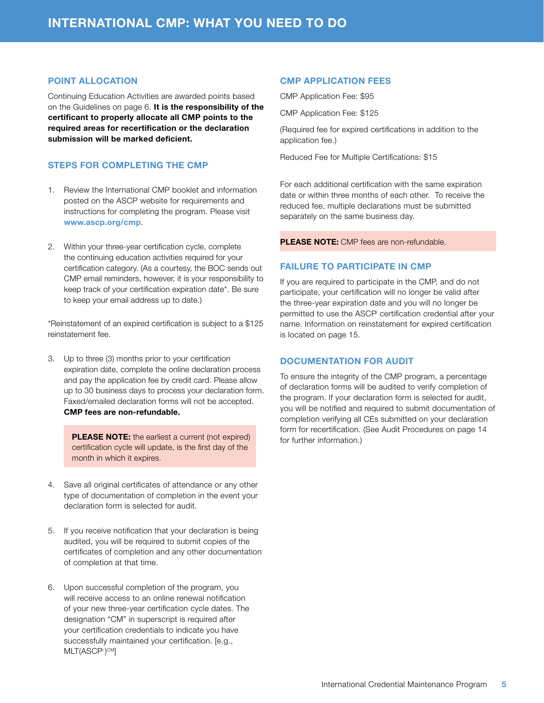#### <span id="page-4-0"></span>POINT ALLOCATION

Continuing Education Activities are awarded points based on the Guidelines on page 6. It is the responsibility of the certificant to properly allocate all CMP points to the required areas for recertification or the declaration submission will be marked deficient.

#### STEPS FOR COMPLETING THE CMP

- 1. Review the International CMP booklet and information posted on the ASCP website for requirements and instructions for completing the program. Please visit www.ascp.org/cmp.
- 2. Within your three-year certification cycle, complete the continuing education activities required for your certification category. (As a courtesy, the BOC sends out CMP email reminders, however, it is your responsibility to keep track of your certification expiration date\*. Be sure to keep your email address up to date.)

\*Reinstatement of an expired certification is subject to a \$125 reinstatement fee.

3. Up to three (3) months prior to your certification expiration date, complete the online declaration process and pay the application fee by credit card. Please allow up to 30 business days to process your declaration form. Faxed/emailed declaration forms will not be accepted. CMP fees are non-refundable.

> PLEASE NOTE: the earliest a current (not expired) certification cycle will update, is the first day of the month in which it expires.

- 4. Save all original certificates of attendance or any other type of documentation of completion in the event your declaration form is selected for audit.
- 5. If you receive notification that your declaration is being audited, you will be required to submit copies of the certificates of completion and any other documentation of completion at that time.
- 6. Upon successful completion of the program, you will receive access to an online renewal notification of your new three-year certification cycle dates. The designation "CM" in superscript is required after your certification credentials to indicate you have successfully maintained your certification. [e.g., MLT(ASCP<sup>i</sup>)<sup>cm</sup>]

#### CMP APPLICATION FEES

CMP Application Fee: \$95

CMP Application Fee: \$125

(Required fee for expired certifications in addition to the application fee.)

Reduced Fee for Multiple Certifications: \$15

For each additional certification with the same expiration date or within three months of each other. To receive the reduced fee, multiple declarations must be submitted separately on the same business day.

PLEASE NOTE: CMP fees are non-refundable.

#### FAILURE TO PARTICIPATE IN CMP

If you are required to participate in the CMP, and do not participate, your certification will no longer be valid after the three-year expiration date and you will no longer be permitted to use the ASCP<sup>i</sup> certification credential after your name. Information on reinstatement for expired certification is located on page 15.

#### DOCUMENTATION FOR AUDIT

To ensure the integrity of the CMP program, a percentage of declaration forms will be audited to verify completion of the program. If your declaration form is selected for audit, you will be notified and required to submit documentation of completion verifying all CEs submitted on your declaration form for recertification. (See Audit Procedures on page 14 for further information.)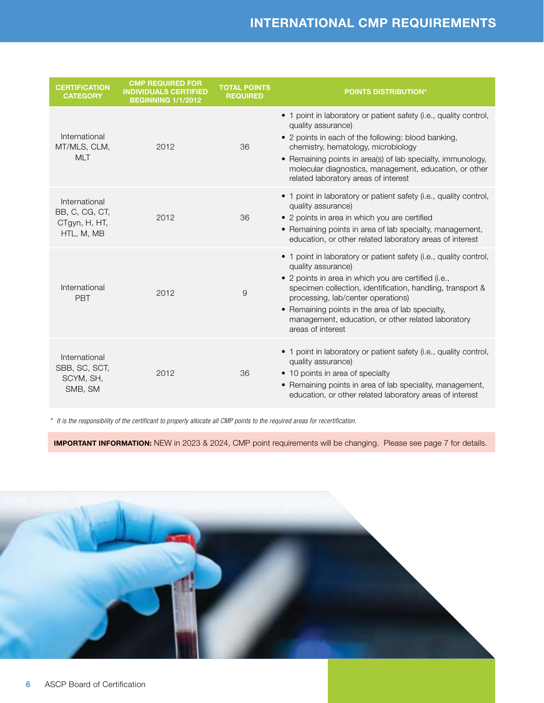## INTERNATIONAL CMP REQUIREMENTS

<span id="page-5-0"></span>

| <b>CERTIFICATION</b><br><b>CATEGORY</b>                        | <b>CMP REQUIRED FOR</b><br><b>INDIVIDUALS CERTIFIED</b><br><b>BEGINNING 1/1/2012</b> | <b>TOTAL POINTS</b><br><b>REQUIRED</b> | <b>POINTS DISTRIBUTION*</b>                                                                                                                                                                                                                                                                                                                                                        |
|----------------------------------------------------------------|--------------------------------------------------------------------------------------|----------------------------------------|------------------------------------------------------------------------------------------------------------------------------------------------------------------------------------------------------------------------------------------------------------------------------------------------------------------------------------------------------------------------------------|
| International<br>MT/MLS, CLM,<br><b>MLT</b>                    | 2012                                                                                 | 36                                     | • 1 point in laboratory or patient safety (i.e., quality control,<br>quality assurance)<br>• 2 points in each of the following: blood banking,<br>chemistry, hematology, microbiology<br>• Remaining points in area(s) of lab specialty, immunology,<br>molecular diagnostics, management, education, or other<br>related laboratory areas of interest                             |
| International<br>BB, C, CG, CT,<br>CTgyn, H, HT,<br>HTL, M, MB | 2012                                                                                 | 36                                     | • 1 point in laboratory or patient safety (i.e., quality control,<br>quality assurance)<br>• 2 points in area in which you are certified<br>• Remaining points in area of lab specialty, management,<br>education, or other related laboratory areas of interest                                                                                                                   |
| International<br><b>PBT</b>                                    | 2012                                                                                 | 9                                      | • 1 point in laboratory or patient safety (i.e., quality control,<br>quality assurance)<br>• 2 points in area in which you are certified (i.e.,<br>specimen collection, identification, handling, transport &<br>processing, lab/center operations)<br>• Remaining points in the area of lab specialty,<br>management, education, or other related laboratory<br>areas of interest |
| International<br>SBB, SC, SCT,<br>SCYM, SH,<br>SMB, SM         | 2012                                                                                 | 36                                     | • 1 point in laboratory or patient safety (i.e., quality control,<br>quality assurance)<br>• 10 points in area of specialty<br>• Remaining points in area of lab speciality, management,<br>education, or other related laboratory areas of interest                                                                                                                               |

*\* It is the responsibility of the certificant to properly allocate all CMP points to the required areas for recertification.*

**IMPORTANT INFORMATION:** NEW in 2023 & 2024, CMP point requirements will be changing. Please see page 7 for details.

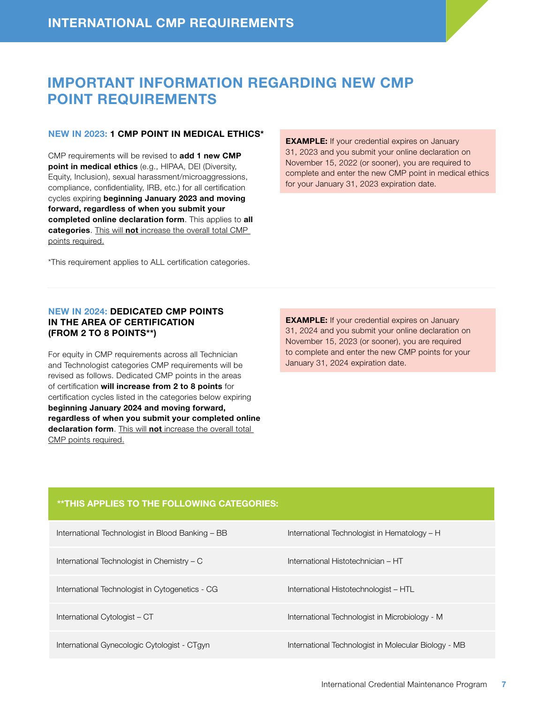## <span id="page-6-0"></span>IMPORTANT INFORMATION REGARDING NEW CMP POINT REQUIREMENTS

#### NEW IN 2023: 1 CMP POINT IN MEDICAL ETHICS\*

CMP requirements will be revised to add 1 new CMP point in medical ethics (e.g., HIPAA, DEI (Diversity, Equity, Inclusion), sexual harassment/microaggressions, compliance, confidentiality, IRB, etc.) for all certification cycles expiring beginning January 2023 and moving forward, regardless of when you submit your completed online declaration form. This applies to all categories. This will not increase the overall total CMP points required.

\*This requirement applies to ALL certification categories.

EXAMPLE: If your credential expires on January 31, 2023 and you submit your online declaration on November 15, 2022 (or sooner), you are required to complete and enter the new CMP point in medical ethics for your January 31, 2023 expiration date.

#### NEW IN 2024: DEDICATED CMP POINTS IN THE AREA OF CERTIFICATION (FROM 2 TO 8 POINTS\*\*)

For equity in CMP requirements across all Technician and Technologist categories CMP requirements will be revised as follows. Dedicated CMP points in the areas of certification will increase from 2 to 8 points for certification cycles listed in the categories below expiring beginning January 2024 and moving forward, regardless of when you submit your completed online declaration form. This will not increase the overall total CMP points required.

EXAMPLE: If your credential expires on January 31, 2024 and you submit your online declaration on November 15, 2023 (or sooner), you are required to complete and enter the new CMP points for your January 31, 2024 expiration date.

#### \*\*THIS APPLIES TO THE FOLLOWING CATEGORIES:

| International Technologist in Blood Banking - BB | International Technologist in Hematology - H         |
|--------------------------------------------------|------------------------------------------------------|
| International Technologist in Chemistry - C      | International Histotechnician - HT                   |
| International Technologist in Cytogenetics - CG  | International Histotechnologist - HTL                |
| International Cytologist - CT                    | International Technologist in Microbiology - M       |
| International Gynecologic Cytologist - CTgyn     | International Technologist in Molecular Biology - MB |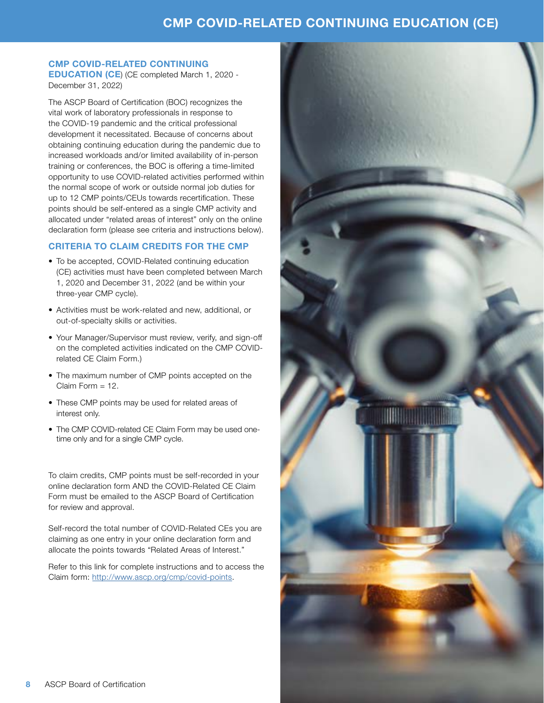## CMP COVID-RELATED CONTINUING EDUCATION (CE)

### <span id="page-7-0"></span>CMP COVID-RELATED CONTINUING

EDUCATION (CE) (CE completed March 1, 2020 - December 31, 2022)

The ASCP Board of Certification (BOC) recognizes the vital work of laboratory professionals in response to the COVID-19 pandemic and the critical professional development it necessitated. Because of concerns about obtaining continuing education during the pandemic due to increased workloads and/or limited availability of in-person training or conferences, the BOC is offering a time-limited opportunity to use COVID-related activities performed within the normal scope of work or outside normal job duties for up to 12 CMP points/CEUs towards recertification. These points should be self-entered as a single CMP activity and allocated under "related areas of interest" only on the online declaration form (please see criteria and instructions below).

#### CRITERIA TO CLAIM CREDITS FOR THE CMP

- To be accepted, COVID-Related continuing education (CE) activities must have been completed between March 1, 2020 and December 31, 2022 (and be within your three-year CMP cycle).
- Activities must be work-related and new, additional, or out-of-specialty skills or activities.
- Your Manager/Supervisor must review, verify, and sign-off on the completed activities indicated on the CMP COVIDrelated CE Claim Form.)
- The maximum number of CMP points accepted on the Claim Form = 12.
- These CMP points may be used for related areas of interest only.
- The CMP COVID-related CE Claim Form may be used onetime only and for a single CMP cycle.

To claim credits, CMP points must be self-recorded in your online declaration form AND the COVID-Related CE Claim Form must be emailed to the ASCP Board of Certification for review and approval.

Self-record the total number of COVID-Related CEs you are claiming as one entry in your online declaration form and allocate the points towards "Related Areas of Interest."

Refer to this link for complete instructions and to access the Claim form: [http://www.ascp.org/cmp/covid-points](https://www.ascp.org/content/board-of-certification/stay-credentialed/#covid).

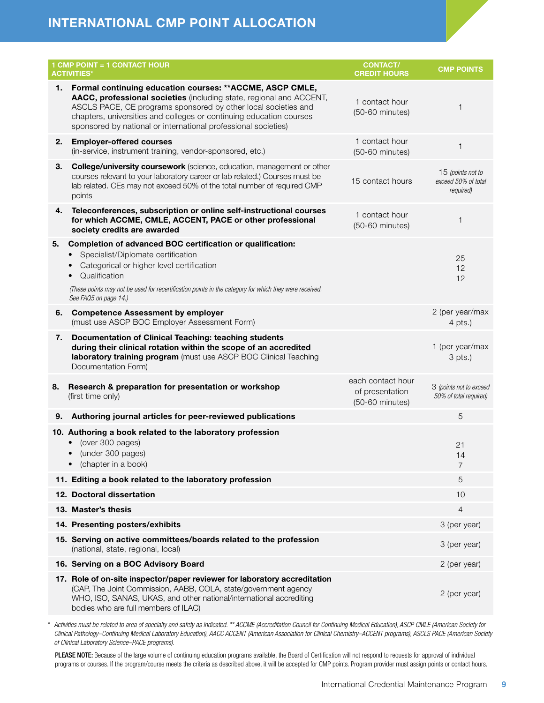## <span id="page-8-0"></span>INTERNATIONAL CMP POINT ALLOCATION

|    | 1 CMP POINT = 1 CONTACT HOUR<br><b>ACTIVITIES*</b>                                                                                                                                                                                                                                                                                          | <b>CONTACT/</b><br><b>CREDIT HOURS</b>                  | <b>CMP POINTS</b>                                     |
|----|---------------------------------------------------------------------------------------------------------------------------------------------------------------------------------------------------------------------------------------------------------------------------------------------------------------------------------------------|---------------------------------------------------------|-------------------------------------------------------|
| 1. | Formal continuing education courses: ** ACCME, ASCP CMLE,<br>AACC, professional societies (including state, regional and ACCENT,<br>ASCLS PACE, CE programs sponsored by other local societies and<br>chapters, universities and colleges or continuing education courses<br>sponsored by national or international professional societies) | 1 contact hour<br>$(50-60$ minutes)                     | $\mathbf{1}$                                          |
| 2. | <b>Employer-offered courses</b><br>(in-service, instrument training, vendor-sponsored, etc.)                                                                                                                                                                                                                                                | 1 contact hour<br>(50-60 minutes)                       | $\mathbf{1}$                                          |
| 3. | <b>College/university coursework</b> (science, education, management or other<br>courses relevant to your laboratory career or lab related.) Courses must be<br>lab related. CEs may not exceed 50% of the total number of required CMP<br>points                                                                                           | 15 contact hours                                        | 15 (points not to<br>exceed 50% of total<br>required) |
| 4. | Teleconferences, subscription or online self-instructional courses<br>for which ACCME, CMLE, ACCENT, PACE or other professional<br>society credits are awarded                                                                                                                                                                              | 1 contact hour<br>(50-60 minutes)                       | $\mathbf{1}$                                          |
| 5. | Completion of advanced BOC certification or qualification:<br>Specialist/Diplomate certification<br>Categorical or higher level certification<br>Qualification<br>(These points may not be used for recertification points in the category for which they were received.<br>See FAQ5 on page 14.)                                           |                                                         | 25<br>12<br>12                                        |
| 6. | <b>Competence Assessment by employer</b><br>(must use ASCP BOC Employer Assessment Form)                                                                                                                                                                                                                                                    |                                                         | 2 (per year/max<br>$4$ pts.)                          |
| 7. | Documentation of Clinical Teaching: teaching students<br>during their clinical rotation within the scope of an accredited<br>laboratory training program (must use ASCP BOC Clinical Teaching<br>Documentation Form)                                                                                                                        |                                                         | 1 (per year/max<br>3 pts.)                            |
| 8. | Research & preparation for presentation or workshop<br>(first time only)                                                                                                                                                                                                                                                                    | each contact hour<br>of presentation<br>(50-60 minutes) | 3 (points not to exceed<br>50% of total required)     |
| 9. | Authoring journal articles for peer-reviewed publications                                                                                                                                                                                                                                                                                   |                                                         | 5                                                     |
|    | 10. Authoring a book related to the laboratory profession<br>(over 300 pages)<br>(under 300 pages)<br>(chapter in a book)<br>$\bullet$                                                                                                                                                                                                      |                                                         | 21<br>14<br>7                                         |
|    | 11. Editing a book related to the laboratory profession                                                                                                                                                                                                                                                                                     |                                                         | 5                                                     |
|    | 12. Doctoral dissertation                                                                                                                                                                                                                                                                                                                   |                                                         | 10                                                    |
|    | 13. Master's thesis                                                                                                                                                                                                                                                                                                                         |                                                         | $\overline{4}$                                        |
|    | 14. Presenting posters/exhibits                                                                                                                                                                                                                                                                                                             |                                                         | 3 (per year)                                          |
|    | 15. Serving on active committees/boards related to the profession<br>(national, state, regional, local)                                                                                                                                                                                                                                     |                                                         | 3 (per year)                                          |
|    | 16. Serving on a BOC Advisory Board                                                                                                                                                                                                                                                                                                         |                                                         | 2 (per year)                                          |
|    | 17. Role of on-site inspector/paper reviewer for laboratory accreditation<br>(CAP, The Joint Commission, AABB, COLA, state/government agency<br>WHO, ISO, SANAS, UKAS, and other national/international accrediting<br>bodies who are full members of ILAC)                                                                                 |                                                         | 2 (per year)                                          |

*\* Activities must be related to area of specialty and safety as indicated. \*\* ACCME (Accreditation Council for Continuing Medical Education), ASCP CMLE (American Society for Clinical Pathology–Continuing Medical Laboratory Education), AACC ACCENT (American Association for Clinical Chemistry–ACCENT programs), ASCLS PACE (American Society of Clinical Laboratory Science–PACE programs).*

PLEASE NOTE: Because of the large volume of continuing education programs available, the Board of Certification will not respond to requests for approval of individual programs or courses. If the program/course meets the criteria as described above, it will be accepted for CMP points. Program provider must assign points or contact hours.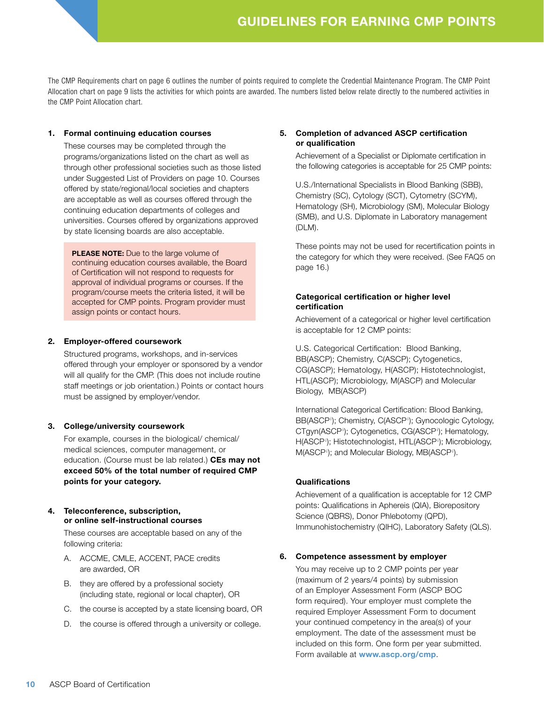<span id="page-9-0"></span>The CMP Requirements chart on page 6 outlines the number of points required to complete the Credential Maintenance Program. The CMP Point Allocation chart on page 9 lists the activities for which points are awarded. The numbers listed below relate directly to the numbered activities in the CMP Point Allocation chart.

#### 1. Formal continuing education courses

These courses may be completed through the programs/organizations listed on the chart as well as through other professional societies such as those listed under Suggested List of Providers on page 10. Courses offered by state/regional/local societies and chapters are acceptable as well as courses offered through the continuing education departments of colleges and universities. Courses offered by organizations approved by state licensing boards are also acceptable.

PLEASE NOTE: Due to the large volume of continuing education courses available, the Board of Certification will not respond to requests for approval of individual programs or courses. If the program/course meets the criteria listed, it will be accepted for CMP points. Program provider must assign points or contact hours.

#### 2. Employer-offered coursework

Structured programs, workshops, and in-services offered through your employer or sponsored by a vendor will all qualify for the CMP. (This does not include routine staff meetings or job orientation.) Points or contact hours must be assigned by employer/vendor.

#### 3. College/university coursework

For example, courses in the biological/ chemical/ medical sciences, computer management, or education. (Course must be lab related.) CEs may not exceed 50% of the total number of required CMP points for your category.

#### 4. Teleconference, subscription, or online self-instructional courses

These courses are acceptable based on any of the following criteria:

- A. ACCME, CMLE, ACCENT, PACE credits are awarded, OR
- B. they are offered by a professional society (including state, regional or local chapter), OR
- C. the course is accepted by a state licensing board, OR
- D. the course is offered through a university or college.

#### 5. Completion of advanced ASCP certification or qualification

Achievement of a Specialist or Diplomate certification in the following categories is acceptable for 25 CMP points:

U.S./International Specialists in Blood Banking (SBB), Chemistry (SC), Cytology (SCT), Cytometry (SCYM), Hematology (SH), Microbiology (SM), Molecular Biology (SMB), and U.S. Diplomate in Laboratory management (DLM).

These points may not be used for recertification points in the category for which they were received. (See FAQ5 on page 16.)

#### Categorical certification or higher level certification

Achievement of a categorical or higher level certification is acceptable for 12 CMP points:

U.S. Categorical Certification: Blood Banking, BB(ASCP); Chemistry, C(ASCP); Cytogenetics, CG(ASCP); Hematology, H(ASCP); Histotechnologist, HTL(ASCP); Microbiology, M(ASCP) and Molecular Biology, MB(ASCP)

International Categorical Certification: Blood Banking, BB(ASCP<sup>i</sup>); Chemistry, C(ASCP<sup>i</sup>); Gynocologic Cytology, CTgyn(ASCP<sup>i</sup>); Cytogenetics, CG(ASCP<sup>i</sup>); Hematology, H(ASCP<sup>i</sup>); Histotechnologist, HTL(ASCP<sup>i</sup>); Microbiology, M(ASCP<sup>i</sup>); and Molecular Biology, MB(ASCP<sup>i</sup>).

#### **Qualifications**

Achievement of a qualification is acceptable for 12 CMP points: Qualifications in Aphereis (QIA), Biorepository Science (QBRS), Donor Phlebotomy (QPD), Immunohistochemistry (QIHC), Laboratory Safety (QLS).

#### 6. Competence assessment by employer

You may receive up to 2 CMP points per year (maximum of 2 years/4 points) by submission of an Employer Assessment Form (ASCP BOC form required). Your employer must complete the required Employer Assessment Form to document your continued competency in the area(s) of your employment. The date of the assessment must be included on this form. One form per year submitted. Form available at www.ascp.org/cmp.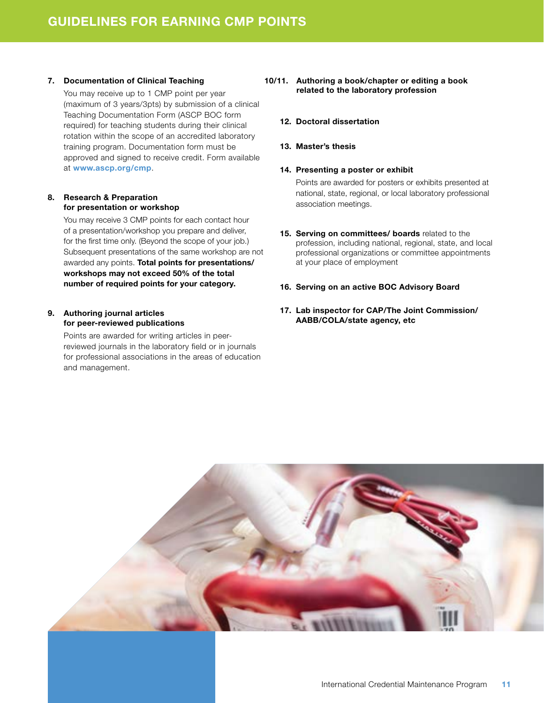#### 7. Documentation of Clinical Teaching

You may receive up to 1 CMP point per year (maximum of 3 years/3pts) by submission of a clinical Teaching Documentation Form (ASCP BOC form required) for teaching students during their clinical rotation within the scope of an accredited laboratory training program. Documentation form must be approved and signed to receive credit. Form available at www.ascp.org/cmp.

#### 8. Research & Preparation for presentation or workshop

You may receive 3 CMP points for each contact hour of a presentation/workshop you prepare and deliver, for the first time only. (Beyond the scope of your job.) Subsequent presentations of the same workshop are not awarded any points. Total points for presentations/ workshops may not exceed 50% of the total number of required points for your category.

#### 9. Authoring journal articles for peer-reviewed publications

Points are awarded for writing articles in peerreviewed journals in the laboratory field or in journals for professional associations in the areas of education and management.

#### 10/11. Authoring a book/chapter or editing a book related to the laboratory profession

#### 12. Doctoral dissertation

#### 13. Master's thesis

#### 14. Presenting a poster or exhibit

Points are awarded for posters or exhibits presented at national, state, regional, or local laboratory professional association meetings.

- 15. Serving on committees/ boards related to the profession, including national, regional, state, and local professional organizations or committee appointments at your place of employment
- 16. Serving on an active BOC Advisory Board
- 17. Lab inspector for CAP/The Joint Commission/ AABB/COLA/state agency, etc

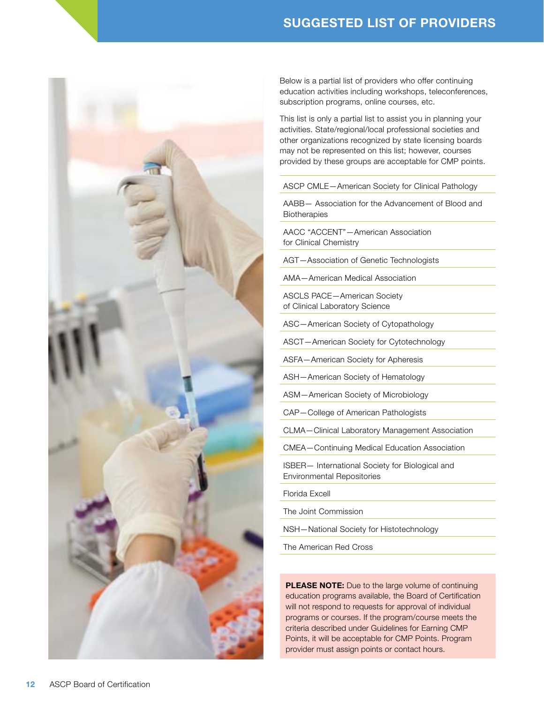## SUGGESTED LIST OF PROVIDERS

<span id="page-11-0"></span>

Below is a partial list of providers who offer continuing education activities including workshops, teleconferences, subscription programs, online courses, etc.

This list is only a partial list to assist you in planning your activities. State/regional/local professional societies and other organizations recognized by state licensing boards may not be represented on this list; however, courses provided by these groups are acceptable for CMP points.

#### ASCP CMLE—American Society for Clinical Pathology

AABB— Association for the Advancement of Blood and **Biotherapies** 

AACC "ACCENT"—American Association for Clinical Chemistry

AGT—Association of Genetic Technologists

AMA—American Medical Association

ASCLS PACE—American Society of Clinical Laboratory Science

ASC—American Society of Cytopathology

ASCT—American Society for Cytotechnology

ASFA—American Society for Apheresis

ASH—American Society of Hematology

ASM—American Society of Microbiology

CAP—College of American Pathologists

CLMA—Clinical Laboratory Management Association

CMEA—Continuing Medical Education Association

ISBER— International Society for Biological and Environmental Repositories

Florida Excell

The Joint Commission

NSH—National Society for Histotechnology

The American Red Cross

PLEASE NOTE: Due to the large volume of continuing education programs available, the Board of Certification will not respond to requests for approval of individual programs or courses. If the program/course meets the criteria described under Guidelines for Earning CMP Points, it will be acceptable for CMP Points. Program provider must assign points or contact hours.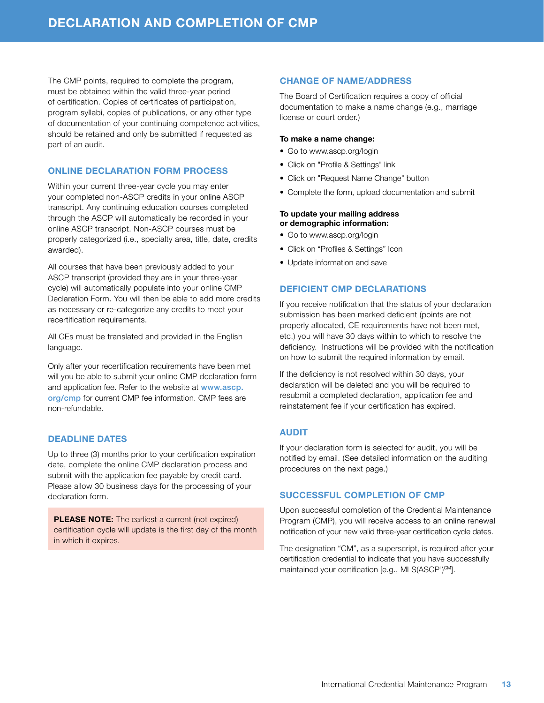<span id="page-12-0"></span>The CMP points, required to complete the program, must be obtained within the valid three-year period of certification. Copies of certificates of participation, program syllabi, copies of publications, or any other type of documentation of your continuing competence activities, should be retained and only be submitted if requested as part of an audit.

#### ONLINE DECLARATION FORM PROCESS

Within your current three-year cycle you may enter your completed non-ASCP credits in your online ASCP transcript. Any continuing education courses completed through the ASCP will automatically be recorded in your online ASCP transcript. Non-ASCP courses must be properly categorized (i.e., specialty area, title, date, credits awarded).

All courses that have been previously added to your ASCP transcript (provided they are in your three-year cycle) will automatically populate into your online CMP Declaration Form. You will then be able to add more credits as necessary or re-categorize any credits to meet your recertification requirements.

All CEs must be translated and provided in the English language.

Only after your recertification requirements have been met will you be able to submit your online CMP declaration form and application fee. Refer to the website at www.ascp. org/cmp for current CMP fee information. CMP fees are non-refundable.

#### DEADLINE DATES

Up to three (3) months prior to your certification expiration date, complete the online CMP declaration process and submit with the application fee payable by credit card. Please allow 30 business days for the processing of your declaration form.

PLEASE NOTE: The earliest a current (not expired) certification cycle will update is the first day of the month in which it expires.

#### CHANGE OF NAME/ADDRESS

The Board of Certification requires a copy of official documentation to make a name change (e.g., marriage license or court order.)

#### To make a name change:

- Go to www.ascp.org/login
- Click on "Profile & Settings" link
- Click on "Request Name Change" button
- Complete the form, upload documentation and submit

#### To update your mailing address or demographic information:

- Go to www.ascp.org/login
- Click on "Profiles & Settings" Icon
- Update information and save

#### DEFICIENT CMP DECLARATIONS

If you receive notification that the status of your declaration submission has been marked deficient (points are not properly allocated, CE requirements have not been met, etc.) you will have 30 days within to which to resolve the deficiency. Instructions will be provided with the notification on how to submit the required information by email.

If the deficiency is not resolved within 30 days, your declaration will be deleted and you will be required to resubmit a completed declaration, application fee and reinstatement fee if your certification has expired.

#### AUDIT

If your declaration form is selected for audit, you will be notified by email. (See detailed information on the auditing procedures on the next page.)

#### SUCCESSFUL COMPLETION OF CMP

Upon successful completion of the Credential Maintenance Program (CMP), you will receive access to an online renewal notification of your new valid three-year certification cycle dates.

The designation "CM", as a superscript, is required after your certification credential to indicate that you have successfully maintained your certification [e.g., MLS(ASCP<sup>i</sup>)<sup>CM</sup>].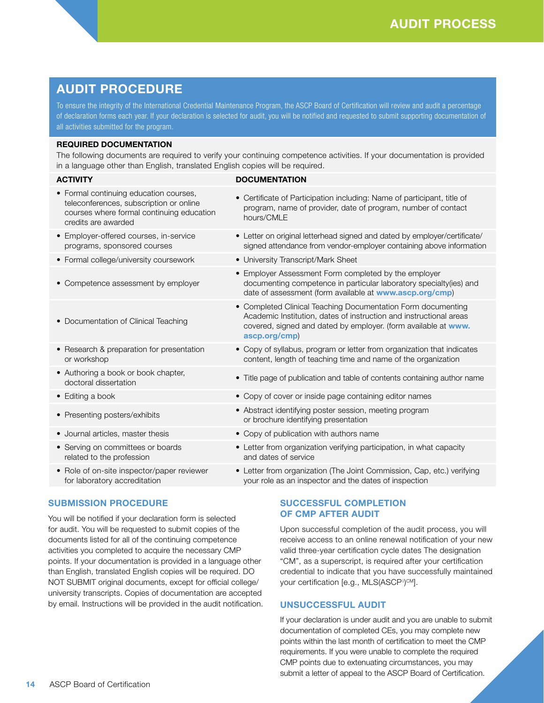## <span id="page-13-0"></span>AUDIT PROCEDURE

To ensure the integrity of the International Credential Maintenance Program, the ASCP Board of Certification will review and audit a percentage of declaration forms each year. If your declaration is selected for audit, you will be notified and requested to submit supporting documentation of all activities submitted for the program.

#### REQUIRED DOCUMENTATION

The following documents are required to verify your continuing competence activities. If your documentation is provided in a language other than English, translated English copies will be required.

#### ACTIVITY DOCUMENTATION

- Formal continuing education courses, teleconferences, subscription or online courses where formal continuing education credits are awarded
- Employer-offered courses, in-service programs, sponsored courses
- Formal college/university coursework University Transcript/Mark Sheet
- Competence assessment by employer
- Documentation of Clinical Teaching
- Research & preparation for presentation or workshop
- Authoring a book or book chapter,
- 
- 
- 
- Serving on committees or boards related to the profession
- Role of on-site inspector/paper reviewer for laboratory accreditation

#### SUBMISSION PROCEDURE

You will be notified if your declaration form is selected for audit. You will be requested to submit copies of the documents listed for all of the continuing competence activities you completed to acquire the necessary CMP points. If your documentation is provided in a language other than English, translated English copies will be required. DO NOT SUBMIT original documents, except for official college/ university transcripts. Copies of documentation are accepted by email. Instructions will be provided in the audit notification.

- Certificate of Participation including: Name of participant, title of program, name of provider, date of program, number of contact hours/CMLE
- Letter on original letterhead signed and dated by employer/certificate/ signed attendance from vendor-employer containing above information
- 
- Employer Assessment Form completed by the employer documenting competence in particular laboratory specialty(ies) and date of assessment (form available at www.ascp.org/cmp)
- Completed Clinical Teaching Documentation Form documenting Academic Institution, dates of instruction and instructional areas covered, signed and dated by employer. (form available at www. ascp.org/cmp)
- Copy of syllabus, program or letter from organization that indicates content, length of teaching time and name of the organization
- doctoral dissertation<br>doctoral dissertation
- Editing a book Copy of cover or inside page containing editor names
- Presenting posters/exhibits Abstract identifying poster session, meeting program<br>
Abstract identifying poster session, meeting program or brochure identifying presentation
- Journal articles, master thesis Copy of publication with authors name
	- Letter from organization verifying participation, in what capacity and dates of service
	- Letter from organization (The Joint Commission, Cap, etc.) verifying your role as an inspector and the dates of inspection

#### SUCCESSFUL COMPLETION OF CMP AFTER AUDIT

Upon successful completion of the audit process, you will receive access to an online renewal notification of your new valid three-year certification cycle dates The designation "CM", as a superscript, is required after your certification credential to indicate that you have successfully maintained your certification [e.g., MLS(ASCP<sup>i</sup>)<sup>cm</sup>].

#### UNSUCCESSFUL AUDIT

If your declaration is under audit and you are unable to submit documentation of completed CEs, you may complete new points within the last month of certification to meet the CMP requirements. If you were unable to complete the required CMP points due to extenuating circumstances, you may submit a letter of appeal to the ASCP Board of Certification.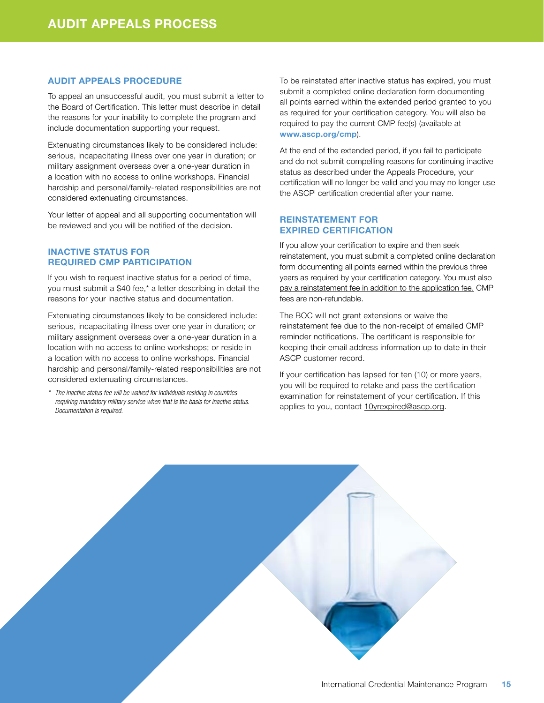#### <span id="page-14-0"></span>AUDIT APPEALS PROCEDURE

To appeal an unsuccessful audit, you must submit a letter to the Board of Certification. This letter must describe in detail the reasons for your inability to complete the program and include documentation supporting your request.

Extenuating circumstances likely to be considered include: serious, incapacitating illness over one year in duration; or military assignment overseas over a one-year duration in a location with no access to online workshops. Financial hardship and personal/family-related responsibilities are not considered extenuating circumstances.

Your letter of appeal and all supporting documentation will be reviewed and you will be notified of the decision.

#### INACTIVE STATUS FOR REQUIRED CMP PARTICIPATION

If you wish to request inactive status for a period of time, you must submit a \$40 fee,\* a letter describing in detail the reasons for your inactive status and documentation.

Extenuating circumstances likely to be considered include: serious, incapacitating illness over one year in duration; or military assignment overseas over a one-year duration in a location with no access to online workshops; or reside in a location with no access to online workshops. Financial hardship and personal/family-related responsibilities are not considered extenuating circumstances.

*\* The inactive status fee will be waived for individuals residing in countries requiring mandatory military service when that is the basis for inactive status. Documentation is required.*

To be reinstated after inactive status has expired, you must submit a completed online declaration form documenting all points earned within the extended period granted to you as required for your certification category. You will also be required to pay the current CMP fee(s) (available at www.ascp.org/cmp).

At the end of the extended period, if you fail to participate and do not submit compelling reasons for continuing inactive status as described under the Appeals Procedure, your certification will no longer be valid and you may no longer use the ASCPi certification credential after your name.

#### REINSTATEMENT FOR EXPIRED CERTIFICATION

If you allow your certification to expire and then seek reinstatement, you must submit a completed online declaration form documenting all points earned within the previous three years as required by your certification category. You must also pay a reinstatement fee in addition to the application fee. CMP fees are non-refundable.

The BOC will not grant extensions or waive the reinstatement fee due to the non-receipt of emailed CMP reminder notifications. The certificant is responsible for keeping their email address information up to date in their ASCP customer record.

If your certification has lapsed for ten (10) or more years, you will be required to retake and pass the certification examination for reinstatement of your certification. If this applies to you, contact [10yrexpired@ascp.org](mailto:10yrexpired@ascp.org).

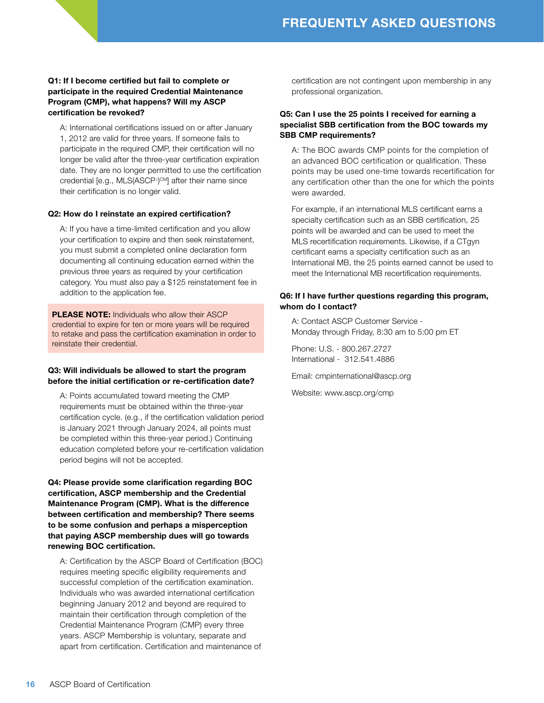#### <span id="page-15-0"></span>Q1: If I become certified but fail to complete or participate in the required Credential Maintenance Program (CMP), what happens? Will my ASCP certification be revoked?

A: International certifications issued on or after January 1, 2012 are valid for three years. If someone fails to participate in the required CMP, their certification will no longer be valid after the three-year certification expiration date. They are no longer permitted to use the certification credential [e.g., MLS(ASCP<sup>i</sup>)<sup>CM</sup>] after their name since their certification is no longer valid.

#### Q2: How do I reinstate an expired certification?

A: If you have a time-limited certification and you allow your certification to expire and then seek reinstatement, you must submit a completed online declaration form documenting all continuing education earned within the previous three years as required by your certification category. You must also pay a \$125 reinstatement fee in addition to the application fee.

PLEASE NOTE: Individuals who allow their ASCP credential to expire for ten or more years will be required to retake and pass the certification examination in order to reinstate their credential.

#### Q3: Will individuals be allowed to start the program before the initial certification or re-certification date?

A: Points accumulated toward meeting the CMP requirements must be obtained within the three-year certification cycle. (e.g., if the certification validation period is January 2021 through January 2024, all points must be completed within this three-year period.) Continuing education completed before your re-certification validation period begins will not be accepted.

Q4: Please provide some clarification regarding BOC certification, ASCP membership and the Credential Maintenance Program (CMP). What is the difference between certification and membership? There seems to be some confusion and perhaps a misperception that paying ASCP membership dues will go towards renewing BOC certification.

A: Certification by the ASCP Board of Certification (BOC) requires meeting specific eligibility requirements and successful completion of the certification examination. Individuals who was awarded international certification beginning January 2012 and beyond are required to maintain their certification through completion of the Credential Maintenance Program (CMP) every three years. ASCP Membership is voluntary, separate and apart from certification. Certification and maintenance of

certification are not contingent upon membership in any professional organization.

#### Q5: Can I use the 25 points I received for earning a specialist SBB certification from the BOC towards my SBB CMP requirements?

A: The BOC awards CMP points for the completion of an advanced BOC certification or qualification. These points may be used one-time towards recertification for any certification other than the one for which the points were awarded.

For example, if an international MLS certificant earns a specialty certification such as an SBB certification, 25 points will be awarded and can be used to meet the MLS recertification requirements. Likewise, if a CTgyn certificant earns a specialty certification such as an International MB, the 25 points earned cannot be used to meet the International MB recertification requirements.

#### Q6: If I have further questions regarding this program, whom do I contact?

A: Contact ASCP Customer Service - Monday through Friday, 8:30 am to 5:00 pm ET

Phone: U.S. - 800.267.2727 International - 312.541.4886

Email: cmpinternational@ascp.org

Website: www.ascp.org/cmp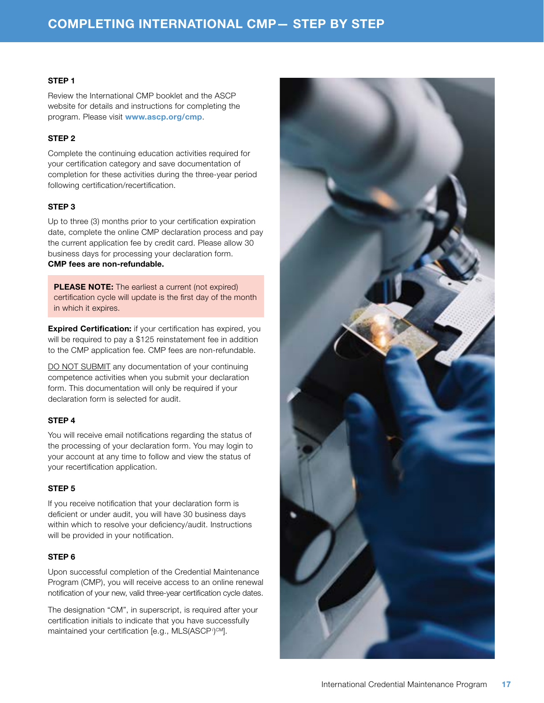#### <span id="page-16-0"></span>STEP 1

Review the International CMP booklet and the ASCP website for details and instructions for completing the program. Please visit www.ascp.org/cmp.

#### STEP 2

Complete the continuing education activities required for your certification category and save documentation of completion for these activities during the three-year period following certification/recertification.

#### STEP 3

Up to three (3) months prior to your certification expiration date, complete the online CMP declaration process and pay the current application fee by credit card. Please allow 30 business days for processing your declaration form. CMP fees are non-refundable.

PLEASE NOTE: The earliest a current (not expired) certification cycle will update is the first day of the month in which it expires.

**Expired Certification:** if your certification has expired, you will be required to pay a \$125 reinstatement fee in addition to the CMP application fee. CMP fees are non-refundable.

DO NOT SUBMIT any documentation of your continuing competence activities when you submit your declaration form. This documentation will only be required if your declaration form is selected for audit.

#### STEP 4

You will receive email notifications regarding the status of the processing of your declaration form. You may login to your account at any time to follow and view the status of your recertification application.

#### STEP 5

If you receive notification that your declaration form is deficient or under audit, you will have 30 business days within which to resolve your deficiency/audit. Instructions will be provided in your notification.

#### STEP 6

Upon successful completion of the Credential Maintenance Program (CMP), you will receive access to an online renewal notification of your new, valid three-year certification cycle dates.

The designation "CM", in superscript, is required after your certification initials to indicate that you have successfully maintained your certification [e.g., MLS(ASCP<sup>i</sup>)<sup>cm</sup>].